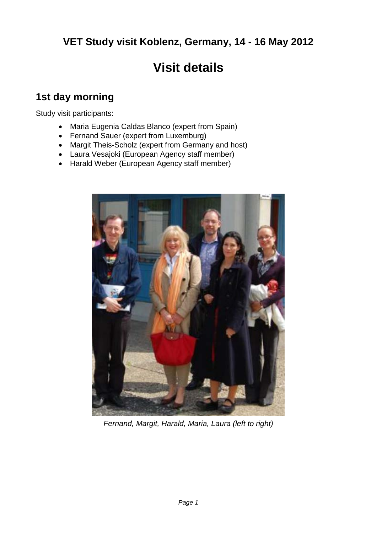# **VET Study visit Koblenz, Germany, 14 - 16 May 2012**

# **Visit details**

### **1st day morning**

Study visit participants:

- Maria Eugenia Caldas Blanco (expert from Spain)
- Fernand Sauer (expert from Luxemburg)
- Margit Theis-Scholz (expert from Germany and host)
- Laura Vesajoki (European Agency staff member)
- Harald Weber (European Agency staff member)



*Fernand, Margit, Harald, Maria, Laura (left to right)*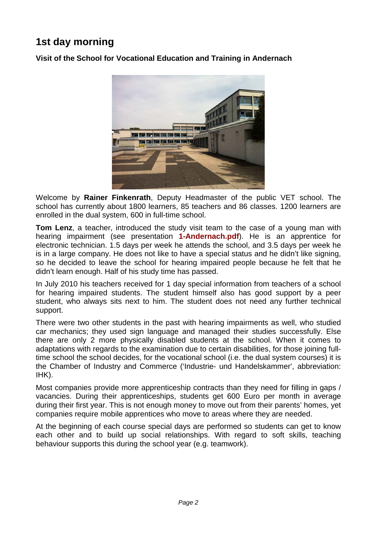# **1st day morning**

**Visit of the School for Vocational Education and Training in Andernach**



Welcome by **Rainer Finkenrath**, Deputy Headmaster of the public VET school. The school has currently about 1800 learners, 85 teachers and 86 classes. 1200 learners are enrolled in the dual system, 600 in full-time school.

**Tom Lenz**, a teacher, introduced the study visit team to the case of a young man with hearing impairment (see presentation **1-Andernach.pdf**). He is an apprentice for electronic technician. 1.5 days per week he attends the school, and 3.5 days per week he is in a large company. He does not like to have a special status and he didn't like signing, so he decided to leave the school for hearing impaired people because he felt that he didn't learn enough. Half of his study time has passed.

In July 2010 his teachers received for 1 day special information from teachers of a school for hearing impaired students. The student himself also has good support by a peer student, who always sits next to him. The student does not need any further technical support.

There were two other students in the past with hearing impairments as well, who studied car mechanics; they used sign language and managed their studies successfully. Else there are only 2 more physically disabled students at the school. When it comes to adaptations with regards to the examination due to certain disabilities, for those joining fulltime school the school decides, for the vocational school (i.e. the dual system courses) it is the Chamber of Industry and Commerce ('Industrie- und Handelskammer', abbreviation: IHK).

Most companies provide more apprenticeship contracts than they need for filling in gaps / vacancies. During their apprenticeships, students get 600 Euro per month in average during their first year. This is not enough money to move out from their parents' homes, yet companies require mobile apprentices who move to areas where they are needed.

At the beginning of each course special days are performed so students can get to know each other and to build up social relationships. With regard to soft skills, teaching behaviour supports this during the school year (e.g. teamwork).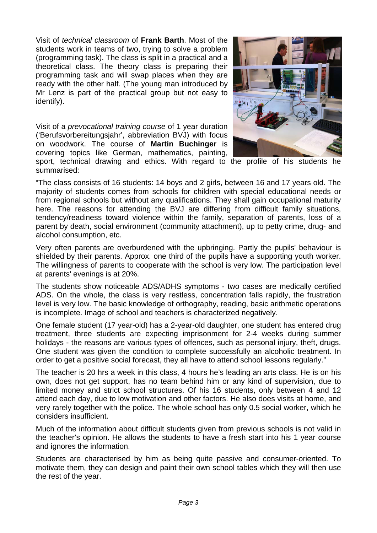Visit of *technical classroom* of **Frank Barth**. Most of the students work in teams of two, trying to solve a problem (programming task). The class is split in a practical and a theoretical class. The theory class is preparing their programming task and will swap places when they are ready with the other half. (The young man introduced by Mr Lenz is part of the practical group but not easy to identify).

Visit of a *prevocational training course* of 1 year duration ('Berufsvorbereitungsjahr', abbreviation BVJ) with focus on woodwork. The course of **Martin Buchinger** is covering topics like German, mathematics, painting,



sport, technical drawing and ethics. With regard to the profile of his students he summarised:

"The class consists of 16 students: 14 boys and 2 girls, between 16 and 17 years old. The majority of students comes from schools for children with special educational needs or from regional schools but without any qualifications. They shall gain occupational maturity here. The reasons for attending the BVJ are differing from difficult family situations, tendency/readiness toward violence within the family, separation of parents, loss of a parent by death, social environment (community attachment), up to petty crime, drug- and alcohol consumption, etc.

Very often parents are overburdened with the upbringing. Partly the pupils' behaviour is shielded by their parents. Approx. one third of the pupils have a supporting youth worker. The willingness of parents to cooperate with the school is very low. The participation level at parents' evenings is at 20%.

The students show noticeable ADS/ADHS symptoms - two cases are medically certified ADS. On the whole, the class is very restless, concentration falls rapidly, the frustration level is very low. The basic knowledge of orthography, reading, basic arithmetic operations is incomplete. Image of school and teachers is characterized negatively.

One female student (17 year-old) has a 2-year-old daughter, one student has entered drug treatment, three students are expecting imprisonment for 2-4 weeks during summer holidays - the reasons are various types of offences, such as personal injury, theft, drugs. One student was given the condition to complete successfully an alcoholic treatment. In order to get a positive social forecast, they all have to attend school lessons regularly."

The teacher is 20 hrs a week in this class, 4 hours he's leading an arts class. He is on his own, does not get support, has no team behind him or any kind of supervision, due to limited money and strict school structures. Of his 16 students, only between 4 and 12 attend each day, due to low motivation and other factors. He also does visits at home, and very rarely together with the police. The whole school has only 0.5 social worker, which he considers insufficient.

Much of the information about difficult students given from previous schools is not valid in the teacher's opinion. He allows the students to have a fresh start into his 1 year course and ignores the information.

Students are characterised by him as being quite passive and consumer-oriented. To motivate them, they can design and paint their own school tables which they will then use the rest of the year.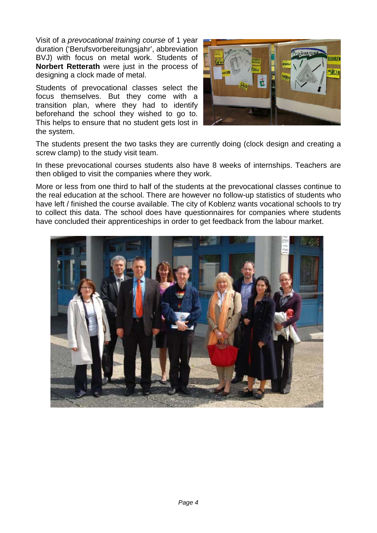Visit of a *prevocational training course* of 1 year duration ('Berufsvorbereitungsjahr', abbreviation BVJ) with focus on metal work. Students of **Norbert Retterath** were just in the process of designing a clock made of metal.

Students of prevocational classes select the focus themselves. But they come with a transition plan, where they had to identify beforehand the school they wished to go to. This helps to ensure that no student gets lost in the system.



The students present the two tasks they are currently doing (clock design and creating a screw clamp) to the study visit team.

In these prevocational courses students also have 8 weeks of internships. Teachers are then obliged to visit the companies where they work.

More or less from one third to half of the students at the prevocational classes continue to the real education at the school. There are however no follow-up statistics of students who have left / finished the course available. The city of Koblenz wants vocational schools to try to collect this data. The school does have questionnaires for companies where students have concluded their apprenticeships in order to get feedback from the labour market.

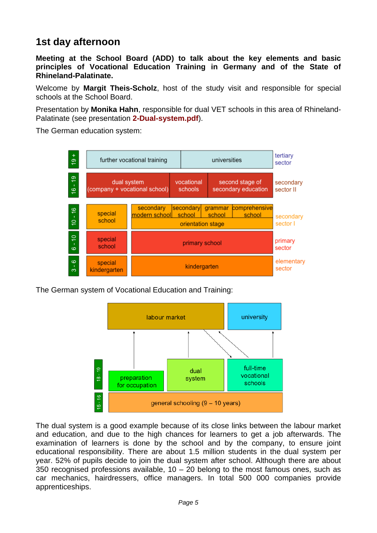#### **1st day afternoon**

**Meeting at the School Board (ADD) to talk about the key elements and basic principles of Vocational Education Training in Germany and of the State of Rhineland-Palatinate.**

Welcome by **Margit Theis-Scholz**, host of the study visit and responsible for special schools at the School Board.

Presentation by **Monika Hahn**, responsible for dual VET schools in this area of Rhineland-Palatinate (see presentation **2-Dual-system.pdf**).

The German education system:



The German system of Vocational Education and Training:



The dual system is a good example because of its close links between the labour market and education, and due to the high chances for learners to get a job afterwards. The examination of learners is done by the school and by the company, to ensure joint educational responsibility. There are about 1.5 million students in the dual system per year. 52% of pupils decide to join the dual system after school. Although there are about 350 recognised professions available,  $10 - 20$  belong to the most famous ones, such as car mechanics, hairdressers, office managers. In total 500 000 companies provide apprenticeships.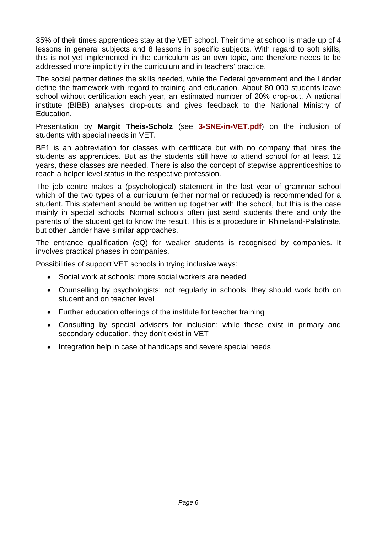35% of their times apprentices stay at the VET school. Their time at school is made up of 4 lessons in general subjects and 8 lessons in specific subjects. With regard to soft skills, this is not yet implemented in the curriculum as an own topic, and therefore needs to be addressed more implicitly in the curriculum and in teachers' practice.

The social partner defines the skills needed, while the Federal government and the Länder define the framework with regard to training and education. About 80 000 students leave school without certification each year, an estimated number of 20% drop-out. A national institute (BIBB) analyses drop-outs and gives feedback to the National Ministry of Education.

Presentation by **Margit Theis-Scholz** (see **3-SNE-in-VET.pdf**) on the inclusion of students with special needs in VET.

BF1 is an abbreviation for classes with certificate but with no company that hires the students as apprentices. But as the students still have to attend school for at least 12 years, these classes are needed. There is also the concept of stepwise apprenticeships to reach a helper level status in the respective profession.

The job centre makes a (psychological) statement in the last year of grammar school which of the two types of a curriculum (either normal or reduced) is recommended for a student. This statement should be written up together with the school, but this is the case mainly in special schools. Normal schools often just send students there and only the parents of the student get to know the result. This is a procedure in Rhineland-Palatinate, but other Länder have similar approaches.

The entrance qualification (eQ) for weaker students is recognised by companies. It involves practical phases in companies.

Possibilities of support VET schools in trying inclusive ways:

- Social work at schools: more social workers are needed
- Counselling by psychologists: not regularly in schools; they should work both on student and on teacher level
- Further education offerings of the institute for teacher training
- Consulting by special advisers for inclusion: while these exist in primary and secondary education, they don't exist in VET
- Integration help in case of handicaps and severe special needs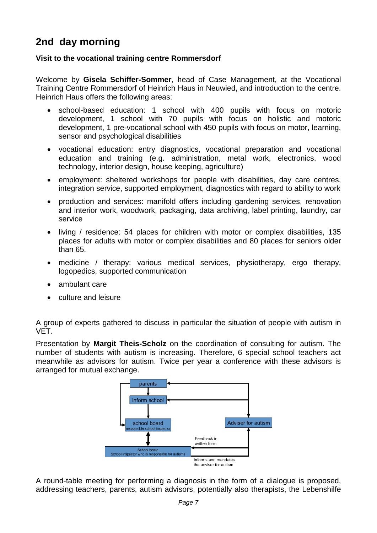# **2nd day morning**

#### **Visit to the vocational training centre Rommersdorf**

Welcome by **Gisela Schiffer-Sommer**, head of Case Management, at the Vocational Training Centre Rommersdorf of Heinrich Haus in Neuwied, and introduction to the centre. Heinrich Haus offers the following areas:

- school-based education: 1 school with 400 pupils with focus on motoric development, 1 school with 70 pupils with focus on holistic and motoric development, 1 pre-vocational school with 450 pupils with focus on motor, learning, sensor and psychological disabilities
- vocational education: entry diagnostics, vocational preparation and vocational education and training (e.g. administration, metal work, electronics, wood technology, interior design, house keeping, agriculture)
- employment: sheltered workshops for people with disabilities, day care centres, integration service, supported employment, diagnostics with regard to ability to work
- production and services: manifold offers including gardening services, renovation and interior work, woodwork, packaging, data archiving, label printing, laundry, car service
- living / residence: 54 places for children with motor or complex disabilities, 135 places for adults with motor or complex disabilities and 80 places for seniors older than 65.
- medicine / therapy: various medical services, physiotherapy, ergo therapy, logopedics, supported communication
- ambulant care
- culture and leisure

A group of experts gathered to discuss in particular the situation of people with autism in VET.

Presentation by **Margit Theis-Scholz** on the coordination of consulting for autism. The number of students with autism is increasing. Therefore, 6 special school teachers act meanwhile as advisors for autism. Twice per year a conference with these advisors is arranged for mutual exchange.



A round-table meeting for performing a diagnosis in the form of a dialogue is proposed, addressing teachers, parents, autism advisors, potentially also therapists, the Lebenshilfe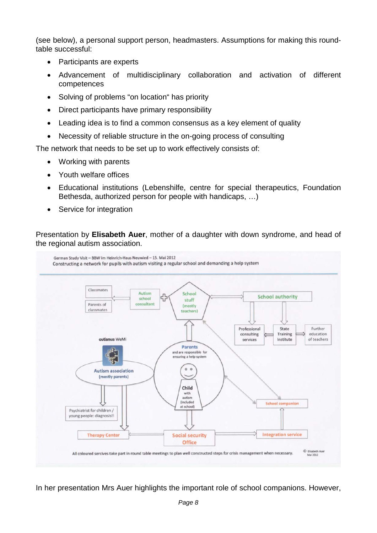(see below), a personal support person, headmasters. Assumptions for making this roundtable successful:

- Participants are experts
- Advancement of multidisciplinary collaboration and activation of different competences
- Solving of problems "on location" has priority
- Direct participants have primary responsibility
- Leading idea is to find a common consensus as a key element of quality
- Necessity of reliable structure in the on-going process of consulting

The network that needs to be set up to work effectively consists of:

- Working with parents
- Youth welfare offices
- Educational institutions (Lebenshilfe, centre for special therapeutics, Foundation Bethesda, authorized person for people with handicaps, …)
- Service for integration

Presentation by **Elisabeth Auer**, mother of a daughter with down syndrome, and head of the regional autism association.



In her presentation Mrs Auer highlights the important role of school companions. However,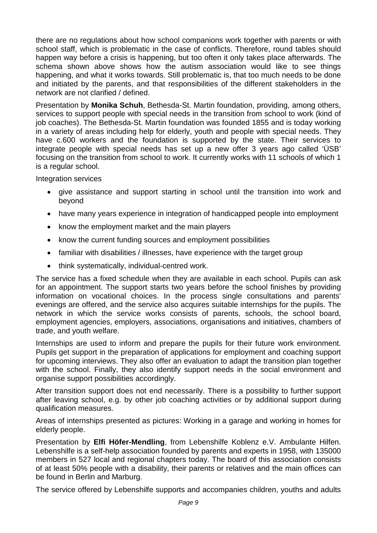there are no regulations about how school companions work together with parents or with school staff, which is problematic in the case of conflicts. Therefore, round tables should happen way before a crisis is happening, but too often it only takes place afterwards. The schema shown above shows how the autism association would like to see things happening, and what it works towards. Still problematic is, that too much needs to be done and initiated by the parents, and that responsibilities of the different stakeholders in the network are not clarified / defined.

Presentation by **Monika Schuh**, Bethesda-St. Martin foundation, providing, among others, services to support people with special needs in the transition from school to work (kind of job coaches). The Bethesda-St. Martin foundation was founded 1855 and is today working in a variety of areas including help for elderly, youth and people with special needs. They have c.600 workers and the foundation is supported by the state. Their services to integrate people with special needs has set up a new offer 3 years ago called 'ÜSB' focusing on the transition from school to work. It currently works with 11 schools of which 1 is a regular school.

Integration services

- give assistance and support starting in school until the transition into work and beyond
- have many years experience in integration of handicapped people into employment
- know the employment market and the main players
- know the current funding sources and employment possibilities
- familiar with disabilities / illnesses, have experience with the target group
- think systematically, individual-centred work.

The service has a fixed schedule when they are available in each school. Pupils can ask for an appointment. The support starts two years before the school finishes by providing information on vocational choices. In the process single consultations and parents' evenings are offered, and the service also acquires suitable internships for the pupils. The network in which the service works consists of parents, schools, the school board, employment agencies, employers, associations, organisations and initiatives, chambers of trade, and youth welfare.

Internships are used to inform and prepare the pupils for their future work environment. Pupils get support in the preparation of applications for employment and coaching support for upcoming interviews. They also offer an evaluation to adapt the transition plan together with the school. Finally, they also identify support needs in the social environment and organise support possibilities accordingly.

After transition support does not end necessarily. There is a possibility to further support after leaving school, e.g. by other job coaching activities or by additional support during qualification measures.

Areas of internships presented as pictures: Working in a garage and working in homes for elderly people.

Presentation by **Elfi Höfer-Mendling**, from Lebenshilfe Koblenz e.V. Ambulante Hilfen. Lebenshilfe is a self-help association founded by parents and experts in 1958, with 135000 members in 527 local and regional chapters today. The board of this association consists of at least 50% people with a disability, their parents or relatives and the main offices can be found in Berlin and Marburg.

The service offered by Lebenshilfe supports and accompanies children, youths and adults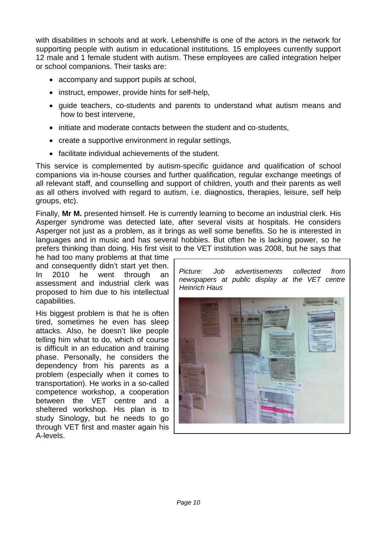with disabilities in schools and at work. Lebenshilfe is one of the actors in the network for supporting people with autism in educational institutions. 15 employees currently support 12 male and 1 female student with autism. These employees are called integration helper or school companions. Their tasks are:

- accompany and support pupils at school,
- instruct, empower, provide hints for self-help,
- guide teachers, co-students and parents to understand what autism means and how to best intervene,
- initiate and moderate contacts between the student and co-students,
- create a supportive environment in regular settings,
- facilitate individual achievements of the student.

This service is complemented by autism-specific guidance and qualification of school companions via in-house courses and further qualification, regular exchange meetings of all relevant staff, and counselling and support of children, youth and their parents as well as all others involved with regard to autism, i.e. diagnostics, therapies, leisure, self help groups, etc).

Finally, **Mr M.** presented himself. He is currently learning to become an industrial clerk. His Asperger syndrome was detected late, after several visits at hospitals. He considers Asperger not just as a problem, as it brings as well some benefits. So he is interested in languages and in music and has several hobbies. But often he is lacking power, so he prefers thinking than doing. His first visit to the VET institution was 2008, but he says that

he had too many problems at that time and consequently didn't start yet then. In 2010 he went through an assessment and industrial clerk was proposed to him due to his intellectual capabilities.

His biggest problem is that he is often tired, sometimes he even has sleep attacks. Also, he doesn't like people telling him what to do, which of course is difficult in an education and training phase. Personally, he considers the dependency from his parents as a problem (especially when it comes to transportation). He works in a so-called competence workshop, a cooperation between the VET centre and a sheltered workshop. His plan is to study Sinology, but he needs to go through VET first and master again his A-levels.

*Picture: Job advertisements collected from newspapers at public display at the VET centre Heinrich Haus*

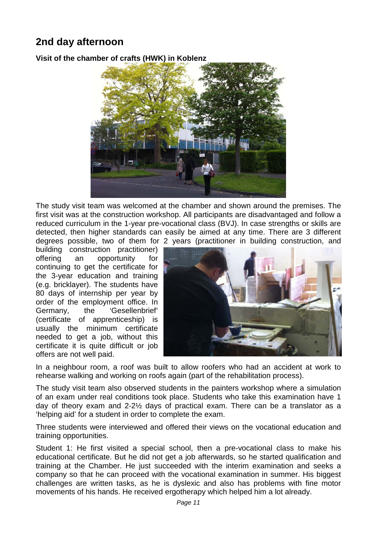## **2nd day afternoon**

**Visit of the chamber of crafts (HWK) in Koblenz**



The study visit team was welcomed at the chamber and shown around the premises. The first visit was at the construction workshop. All participants are disadvantaged and follow a reduced curriculum in the 1-year pre-vocational class (BVJ). In case strengths or skills are detected, then higher standards can easily be aimed at any time. There are 3 different degrees possible, two of them for 2 years (practitioner in building construction, and

building construction practitioner) offering an opportunity for continuing to get the certificate for the 3-year education and training (e.g. bricklayer). The students have 80 days of internship per year by order of the employment office. In Germany, the 'Gesellenbrief' (certificate of apprenticeship) is usually the minimum certificate needed to get a job, without this certificate it is quite difficult or job offers are not well paid.



In a neighbour room, a roof was built to allow roofers who had an accident at work to rehearse walking and working on roofs again (part of the rehabilitation process).

The study visit team also observed students in the painters workshop where a simulation of an exam under real conditions took place. Students who take this examination have 1 day of theory exam and 2-2½ days of practical exam. There can be a translator as a 'helping aid' for a student in order to complete the exam.

Three students were interviewed and offered their views on the vocational education and training opportunities.

Student 1: He first visited a special school, then a pre-vocational class to make his educational certificate. But he did not get a job afterwards, so he started qualification and training at the Chamber. He just succeeded with the interim examination and seeks a company so that he can proceed with the vocational examination in summer. His biggest challenges are written tasks, as he is dyslexic and also has problems with fine motor movements of his hands. He received ergotherapy which helped him a lot already.